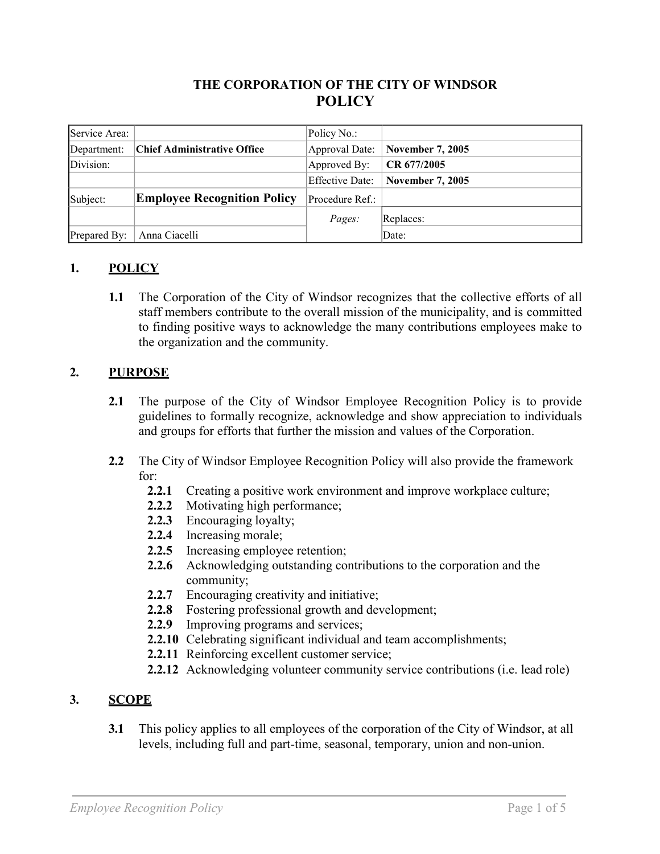### **THE CORPORATION OF THE CITY OF WINDSOR POLICY**

| Service Area: |                                    | Policy No.:     |                         |
|---------------|------------------------------------|-----------------|-------------------------|
| Department:   | Chief Administrative Office        | Approval Date:  | <b>November 7, 2005</b> |
| Division:     |                                    | Approved By:    | CR 677/2005             |
|               |                                    | Effective Date: | <b>November 7, 2005</b> |
| Subject:      | <b>Employee Recognition Policy</b> | Procedure Ref.: |                         |
|               |                                    | Pages:          | Replaces:               |
| Prepared By:  | Anna Ciacelli                      |                 | Date:                   |

### **1. POLICY**

**1.1** The Corporation of the City of Windsor recognizes that the collective efforts of all staff members contribute to the overall mission of the municipality, and is committed to finding positive ways to acknowledge the many contributions employees make to the organization and the community.

### **2. PURPOSE**

- **2.1** The purpose of the City of Windsor Employee Recognition Policy is to provide guidelines to formally recognize, acknowledge and show appreciation to individuals and groups for efforts that further the mission and values of the Corporation.
- **2.2** The City of Windsor Employee Recognition Policy will also provide the framework for:
	- **2.2.1** Creating a positive work environment and improve workplace culture;
	- **2.2.2** Motivating high performance;
	- **2.2.3** Encouraging loyalty;
	- **2.2.4** Increasing morale;
	- **2.2.5** Increasing employee retention;
	- **2.2.6** Acknowledging outstanding contributions to the corporation and the community;
	- **2.2.7** Encouraging creativity and initiative;
	- **2.2.8** Fostering professional growth and development;
	- **2.2.9** Improving programs and services;
	- **2.2.10** Celebrating significant individual and team accomplishments;
	- **2.2.11** Reinforcing excellent customer service;
	- **2.2.12** Acknowledging volunteer community service contributions (i.e. lead role)

#### **3. SCOPE**

**3.1** This policy applies to all employees of the corporation of the City of Windsor, at all levels, including full and part-time, seasonal, temporary, union and non-union.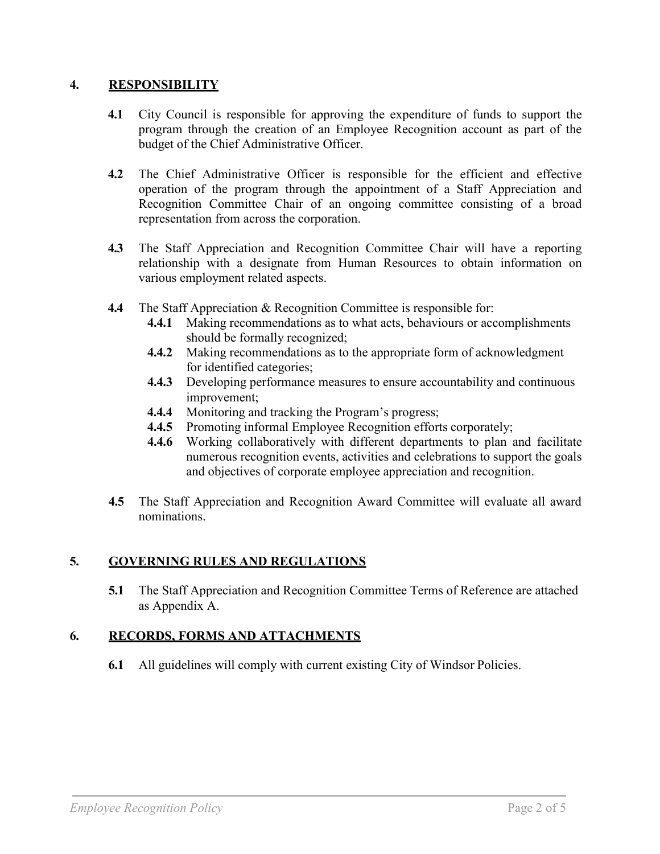#### **4. RESPONSIBILITY**

- **4.1** City Council is responsible for approving the expenditure of funds to support the program through the creation of an Employee Recognition account as part of the budget of the Chief Administrative Officer.
- **4.2** The Chief Administrative Officer is responsible for the efficient and effective operation of the program through the appointment of a Staff Appreciation and Recognition Committee Chair of an ongoing committee consisting of a broad representation from across the corporation.
- **4.3** The Staff Appreciation and Recognition Committee Chair will have a reporting relationship with a designate from Human Resources to obtain information on various employment related aspects.
- **4.4** The Staff Appreciation & Recognition Committee is responsible for:
	- **4.4.1** Making recommendations as to what acts, behaviours or accomplishments should be formally recognized;
	- **4.4.2** Making recommendations as to the appropriate form of acknowledgment for identified categories;
	- **4.4.3** Developing performance measures to ensure accountability and continuous improvement;
	- **4.4.4** Monitoring and tracking the Program's progress;
	- **4.4.5** Promoting informal Employee Recognition efforts corporately;
	- **4.4.6** Working collaboratively with different departments to plan and facilitate numerous recognition events, activities and celebrations to support the goals and objectives of corporate employee appreciation and recognition.
- **4.5** The Staff Appreciation and Recognition Award Committee will evaluate all award nominations.

### **5. GOVERNING RULES AND REGULATIONS**

**5.1** The Staff Appreciation and Recognition Committee Terms of Reference are attached as Appendix A.

### **6. RECORDS, FORMS AND ATTACHMENTS**

**6.1** All guidelines will comply with current existing City of Windsor Policies.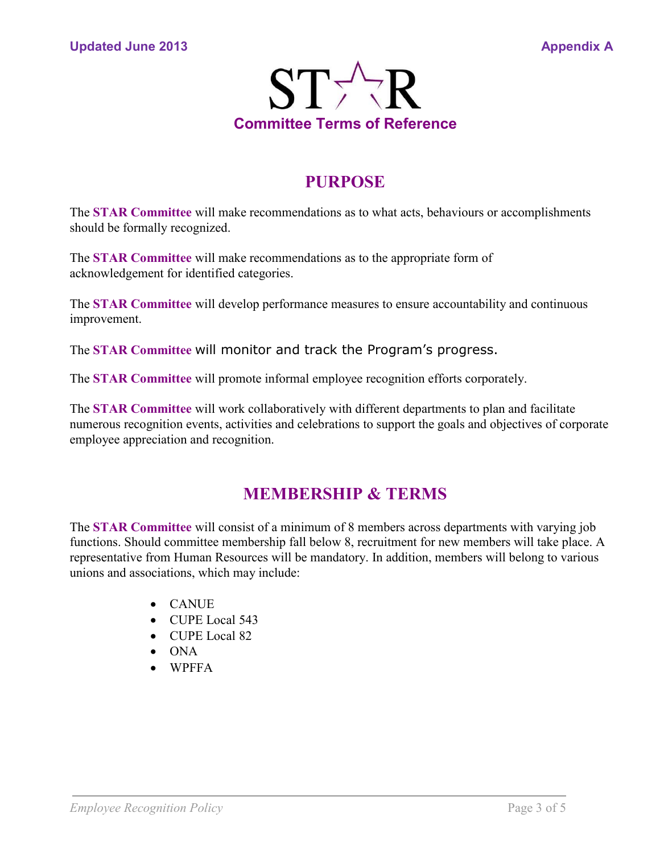

## **PURPOSE**

The **STAR Committee** will make recommendations as to what acts, behaviours or accomplishments should be formally recognized.

The **STAR Committee** will make recommendations as to the appropriate form of acknowledgement for identified categories.

The **STAR Committee** will develop performance measures to ensure accountability and continuous improvement.

The **STAR Committee** will monitor and track the Program's progress.

The **STAR Committee** will promote informal employee recognition efforts corporately.

The **STAR Committee** will work collaboratively with different departments to plan and facilitate numerous recognition events, activities and celebrations to support the goals and objectives of corporate employee appreciation and recognition.

## **MEMBERSHIP & TERMS**

The **STAR Committee** will consist of a minimum of 8 members across departments with varying job functions. Should committee membership fall below 8, recruitment for new members will take place. A representative from Human Resources will be mandatory. In addition, members will belong to various unions and associations, which may include:

- CANUE
- CUPE Local 543
- CUPE Local 82
- ONA
- WPFFA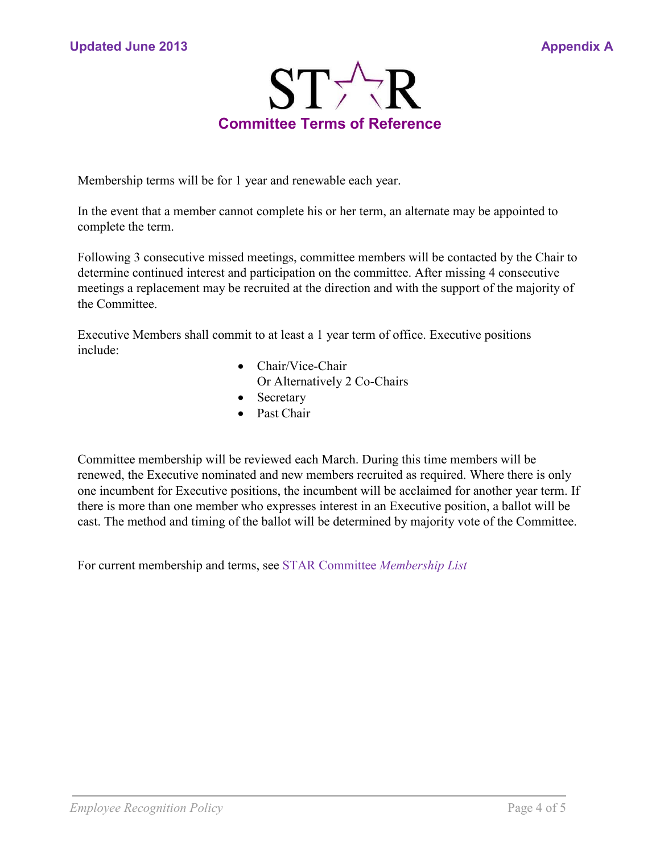

Membership terms will be for 1 year and renewable each year.

In the event that a member cannot complete his or her term, an alternate may be appointed to complete the term.

Following 3 consecutive missed meetings, committee members will be contacted by the Chair to determine continued interest and participation on the committee. After missing 4 consecutive meetings a replacement may be recruited at the direction and with the support of the majority of the Committee.

Executive Members shall commit to at least a 1 year term of office. Executive positions include:

- Chair/Vice-Chair Or Alternatively 2 Co-Chairs
- Secretary
- Past Chair

Committee membership will be reviewed each March. During this time members will be renewed, the Executive nominated and new members recruited as required. Where there is only one incumbent for Executive positions, the incumbent will be acclaimed for another year term. If there is more than one member who expresses interest in an Executive position, a ballot will be cast. The method and timing of the ballot will be determined by majority vote of the Committee.

For current membership and terms, see STAR Committee *Membership List*